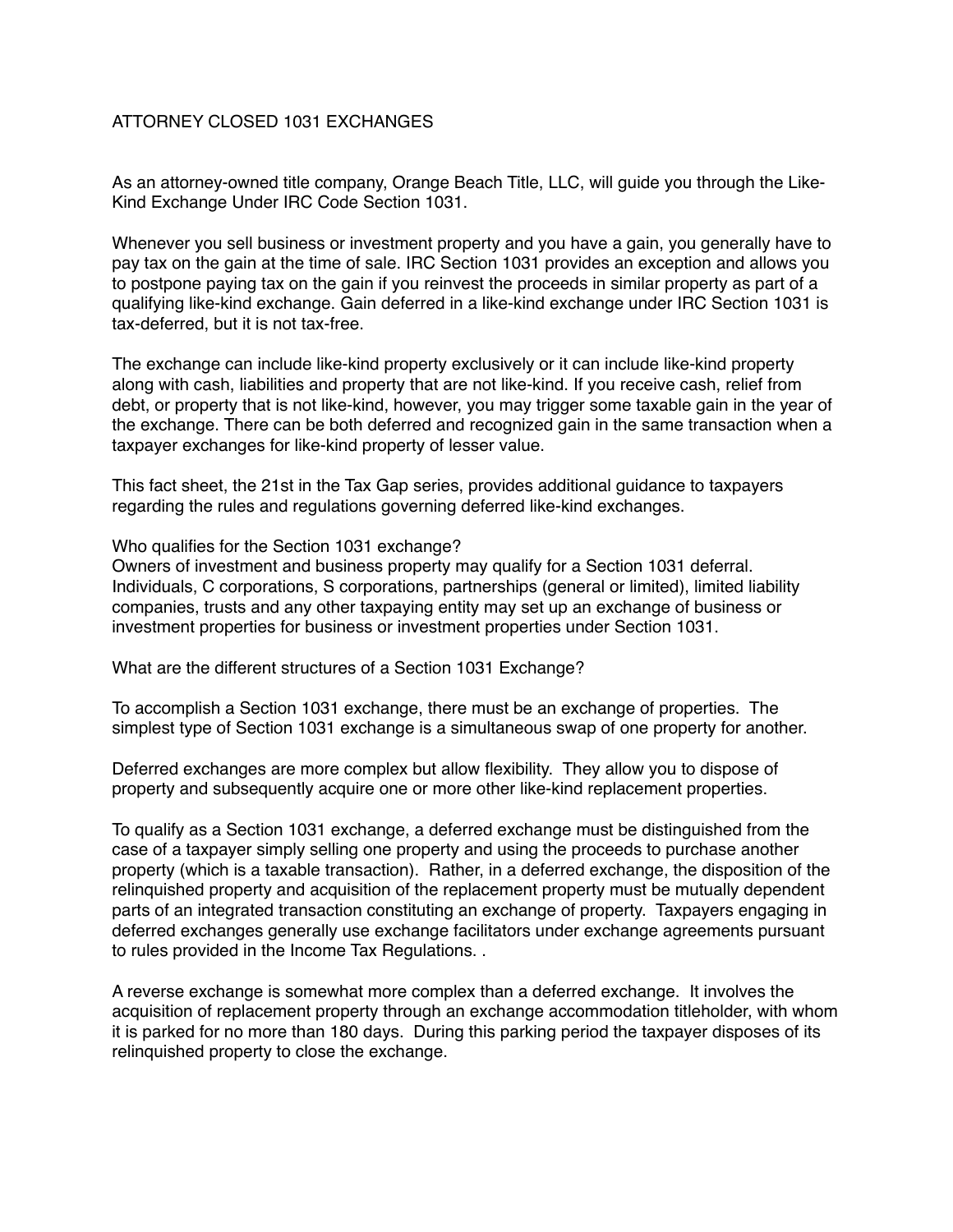## ATTORNEY CLOSED 1031 EXCHANGES

As an attorney-owned title company, Orange Beach Title, LLC, will guide you through the Like-Kind Exchange Under IRC Code Section 1031.

Whenever you sell business or investment property and you have a gain, you generally have to pay tax on the gain at the time of sale. IRC Section 1031 provides an exception and allows you to postpone paying tax on the gain if you reinvest the proceeds in similar property as part of a qualifying like-kind exchange. Gain deferred in a like-kind exchange under IRC Section 1031 is tax-deferred, but it is not tax-free.

The exchange can include like-kind property exclusively or it can include like-kind property along with cash, liabilities and property that are not like-kind. If you receive cash, relief from debt, or property that is not like-kind, however, you may trigger some taxable gain in the year of the exchange. There can be both deferred and recognized gain in the same transaction when a taxpayer exchanges for like-kind property of lesser value.

This fact sheet, the 21st in the Tax Gap series, provides additional guidance to taxpayers regarding the rules and regulations governing deferred like-kind exchanges.

## Who qualifies for the Section 1031 exchange?

Owners of investment and business property may qualify for a Section 1031 deferral. Individuals, C corporations, S corporations, partnerships (general or limited), limited liability companies, trusts and any other taxpaying entity may set up an exchange of business or investment properties for business or investment properties under Section 1031.

What are the different structures of a Section 1031 Exchange?

To accomplish a Section 1031 exchange, there must be an exchange of properties. The simplest type of Section 1031 exchange is a simultaneous swap of one property for another.

Deferred exchanges are more complex but allow flexibility. They allow you to dispose of property and subsequently acquire one or more other like-kind replacement properties.

To qualify as a Section 1031 exchange, a deferred exchange must be distinguished from the case of a taxpayer simply selling one property and using the proceeds to purchase another property (which is a taxable transaction). Rather, in a deferred exchange, the disposition of the relinquished property and acquisition of the replacement property must be mutually dependent parts of an integrated transaction constituting an exchange of property. Taxpayers engaging in deferred exchanges generally use exchange facilitators under exchange agreements pursuant to rules provided in the Income Tax Regulations. .

A reverse exchange is somewhat more complex than a deferred exchange. It involves the acquisition of replacement property through an exchange accommodation titleholder, with whom it is parked for no more than 180 days. During this parking period the taxpayer disposes of its relinquished property to close the exchange.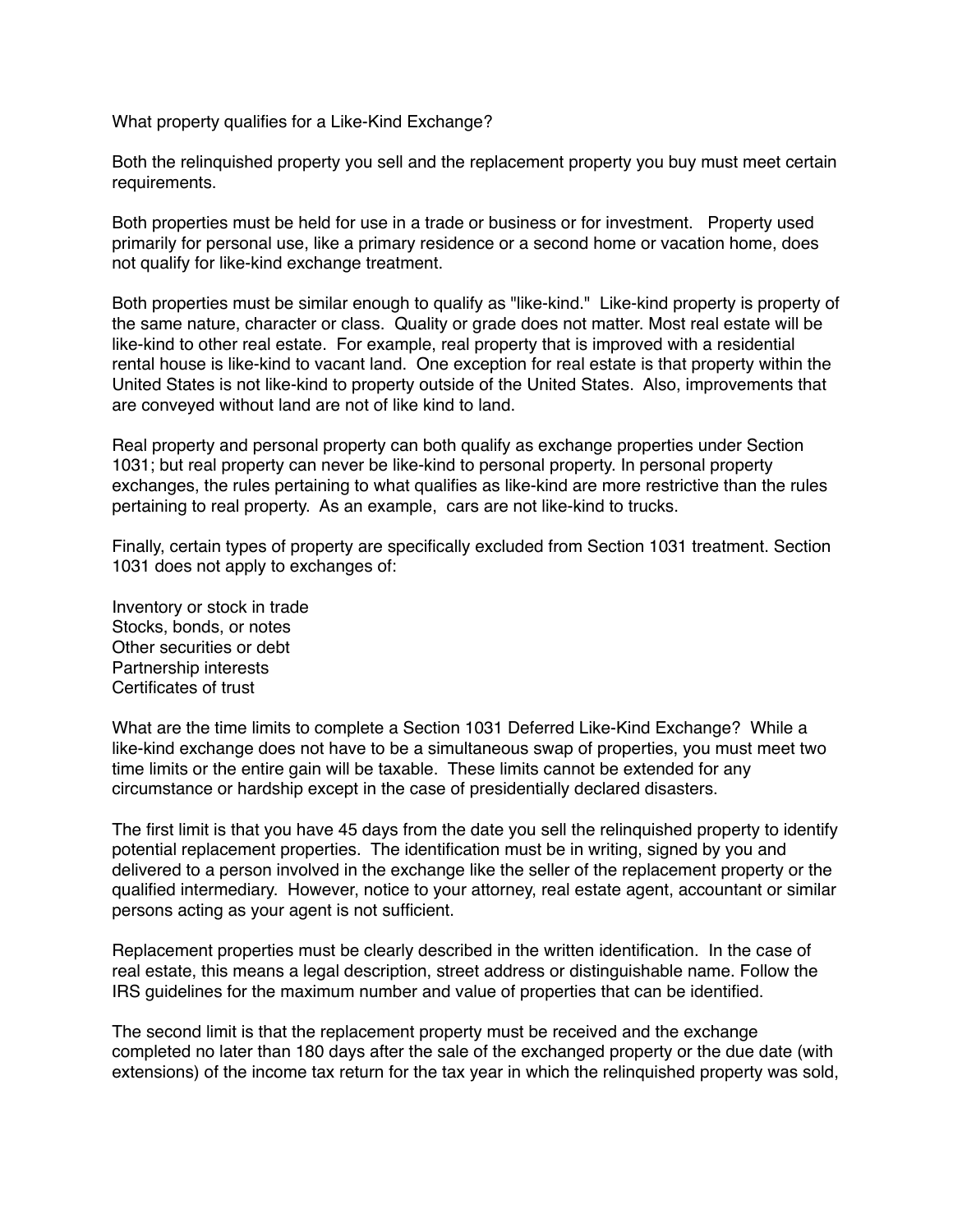What property qualifies for a Like-Kind Exchange?

Both the relinquished property you sell and the replacement property you buy must meet certain requirements.

Both properties must be held for use in a trade or business or for investment. Property used primarily for personal use, like a primary residence or a second home or vacation home, does not qualify for like-kind exchange treatment.

Both properties must be similar enough to qualify as "like-kind." Like-kind property is property of the same nature, character or class. Quality or grade does not matter. Most real estate will be like-kind to other real estate. For example, real property that is improved with a residential rental house is like-kind to vacant land. One exception for real estate is that property within the United States is not like-kind to property outside of the United States. Also, improvements that are conveyed without land are not of like kind to land.

Real property and personal property can both qualify as exchange properties under Section 1031; but real property can never be like-kind to personal property. In personal property exchanges, the rules pertaining to what qualifies as like-kind are more restrictive than the rules pertaining to real property. As an example, cars are not like-kind to trucks.

Finally, certain types of property are specifically excluded from Section 1031 treatment. Section 1031 does not apply to exchanges of:

Inventory or stock in trade Stocks, bonds, or notes Other securities or debt Partnership interests Certificates of trust

What are the time limits to complete a Section 1031 Deferred Like-Kind Exchange? While a like-kind exchange does not have to be a simultaneous swap of properties, you must meet two time limits or the entire gain will be taxable. These limits cannot be extended for any circumstance or hardship except in the case of presidentially declared disasters.

The first limit is that you have 45 days from the date you sell the relinquished property to identify potential replacement properties. The identification must be in writing, signed by you and delivered to a person involved in the exchange like the seller of the replacement property or the qualified intermediary. However, notice to your attorney, real estate agent, accountant or similar persons acting as your agent is not sufficient.

Replacement properties must be clearly described in the written identification. In the case of real estate, this means a legal description, street address or distinguishable name. Follow the IRS guidelines for the maximum number and value of properties that can be identified.

The second limit is that the replacement property must be received and the exchange completed no later than 180 days after the sale of the exchanged property or the due date (with extensions) of the income tax return for the tax year in which the relinquished property was sold,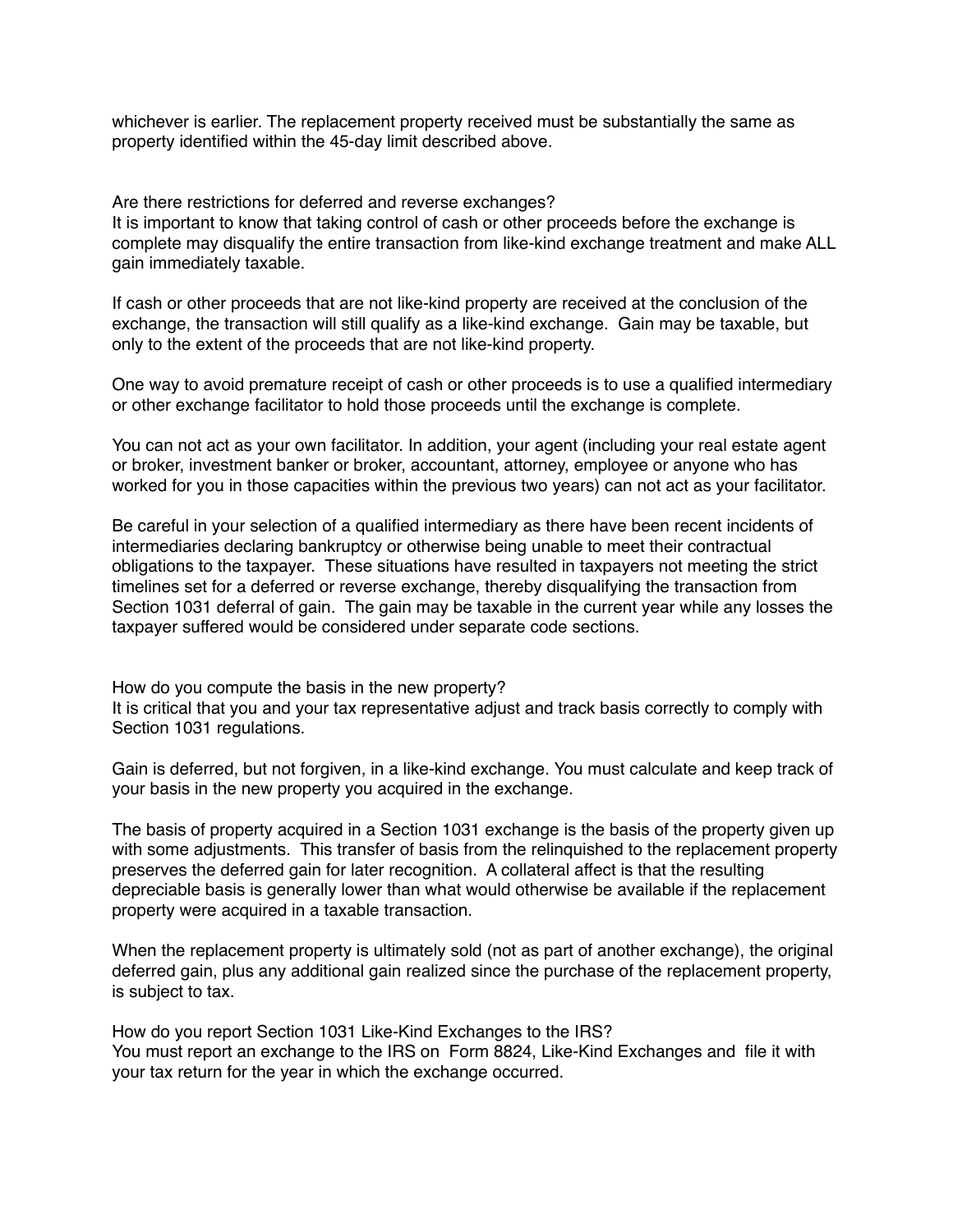whichever is earlier. The replacement property received must be substantially the same as property identified within the 45-day limit described above.

Are there restrictions for deferred and reverse exchanges?

It is important to know that taking control of cash or other proceeds before the exchange is complete may disqualify the entire transaction from like-kind exchange treatment and make ALL gain immediately taxable.

If cash or other proceeds that are not like-kind property are received at the conclusion of the exchange, the transaction will still qualify as a like-kind exchange. Gain may be taxable, but only to the extent of the proceeds that are not like-kind property.

One way to avoid premature receipt of cash or other proceeds is to use a qualified intermediary or other exchange facilitator to hold those proceeds until the exchange is complete.

You can not act as your own facilitator. In addition, your agent (including your real estate agent or broker, investment banker or broker, accountant, attorney, employee or anyone who has worked for you in those capacities within the previous two years) can not act as your facilitator.

Be careful in your selection of a qualified intermediary as there have been recent incidents of intermediaries declaring bankruptcy or otherwise being unable to meet their contractual obligations to the taxpayer. These situations have resulted in taxpayers not meeting the strict timelines set for a deferred or reverse exchange, thereby disqualifying the transaction from Section 1031 deferral of gain. The gain may be taxable in the current year while any losses the taxpayer suffered would be considered under separate code sections.

How do you compute the basis in the new property? It is critical that you and your tax representative adjust and track basis correctly to comply with Section 1031 regulations.

Gain is deferred, but not forgiven, in a like-kind exchange. You must calculate and keep track of your basis in the new property you acquired in the exchange.

The basis of property acquired in a Section 1031 exchange is the basis of the property given up with some adjustments. This transfer of basis from the relinguished to the replacement property preserves the deferred gain for later recognition. A collateral affect is that the resulting depreciable basis is generally lower than what would otherwise be available if the replacement property were acquired in a taxable transaction.

When the replacement property is ultimately sold (not as part of another exchange), the original deferred gain, plus any additional gain realized since the purchase of the replacement property, is subject to tax.

How do you report Section 1031 Like-Kind Exchanges to the IRS? You must report an exchange to the IRS on Form 8824, Like-Kind Exchanges and file it with your tax return for the year in which the exchange occurred.